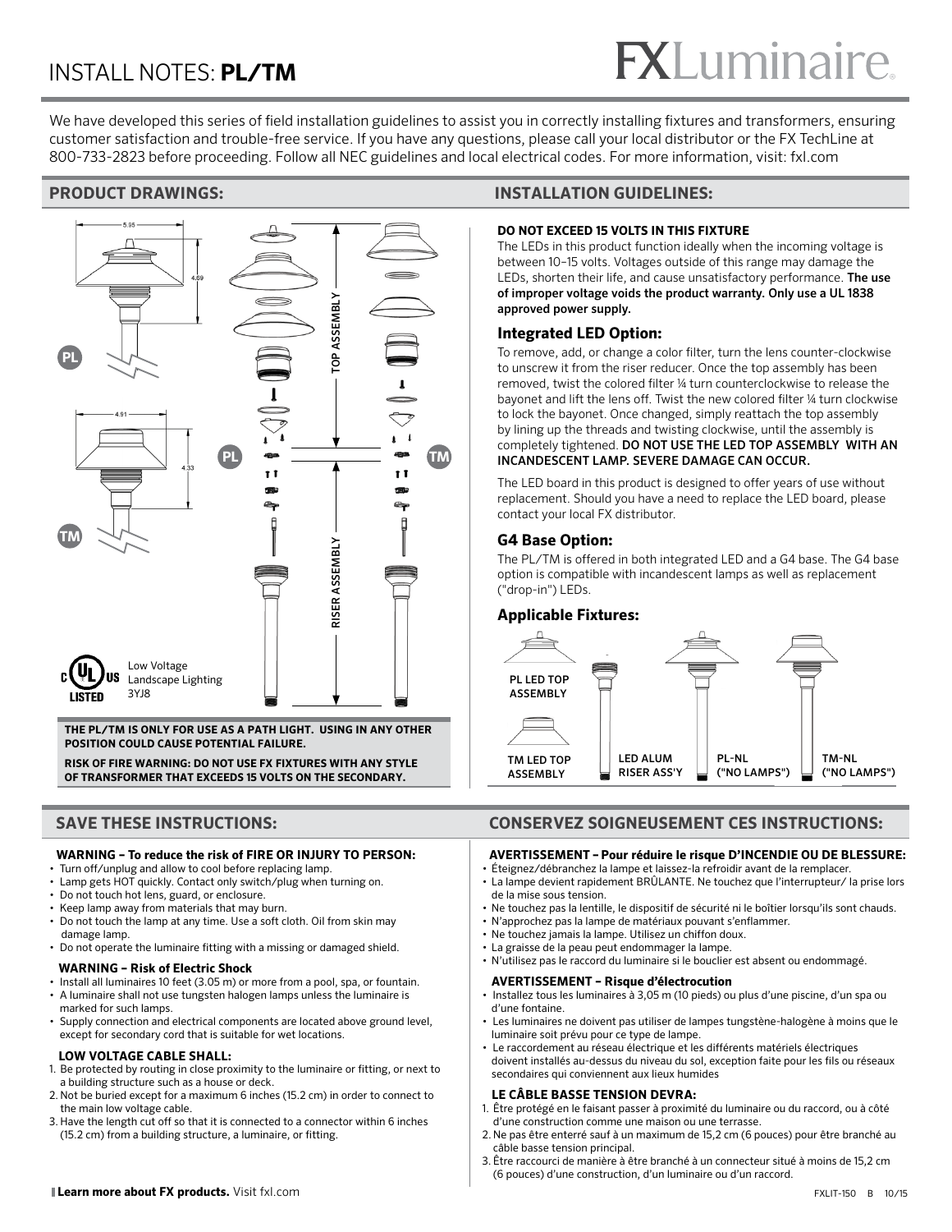# **FXLuminaire**

We have developed this series of field installation guidelines to assist you in correctly installing fixtures and transformers, ensuring customer satisfaction and trouble-free service. If you have any questions, please call your local distributor or the FX TechLine at 800-733-2823 before proceeding. Follow all NEC guidelines and local electrical codes. For more information, visit: fxl.com



**THE PL/TM IS ONLY FOR USE AS A PATH LIGHT. USING IN ANY OTHER POSITION COULD CAUSE POTENTIAL FAILURE.**

**RISK OF FIRE WARNING: DO NOT USE FX FIXTURES WITH ANY STYLE OF TRANSFORMER THAT EXCEEDS 15 VOLTS ON THE SECONDARY.** 

# **WARNING – To reduce the risk of FIRE OR INJURY TO PERSON:**

- Turn off/unplug and allow to cool before replacing lamp.
- Lamp gets HOT quickly. Contact only switch/plug when turning on.
- Do not touch hot lens, guard, or enclosure. • Keep lamp away from materials that may burn.
- 
- Do not touch the lamp at any time. Use a soft cloth. Oil from skin may damage lamp.
- Do not operate the luminaire fitting with a missing or damaged shield.

# **WARNING – Risk of Electric Shock**

- Install all luminaires 10 feet (3.05 m) or more from a pool, spa, or fountain.
- A luminaire shall not use tungsten halogen lamps unless the luminaire is marked for such lamps.
- Supply connection and electrical components are located above ground level, except for secondary cord that is suitable for wet locations.

# **LOW VOLTAGE CABLE SHALL:**

- 1. Be protected by routing in close proximity to the luminaire or fitting, or next to a building structure such as a house or deck.
- 2. Not be buried except for a maximum 6 inches (15.2 cm) in order to connect to the main low voltage cable.
- 3. Have the length cut off so that it is connected to a connector within 6 inches (15.2 cm) from a building structure, a luminaire, or fitting.

# **PRODUCT DRAWINGS: INSTALLATION GUIDELINES:**

# **DO NOT EXCEED 15 VOLTS IN THIS FIXTURE**

The LEDs in this product function ideally when the incoming voltage is between 10–15 volts. Voltages outside of this range may damage the LEDs, shorten their life, and cause unsatisfactory performance. The use of improper voltage voids the product warranty. Only use a UL 1838 approved power supply.

# **Integrated LED Option:**

To remove, add, or change a color filter, turn the lens counter-clockwise to unscrew it from the riser reducer. Once the top assembly has been removed, twist the colored filter ¼ turn counterclockwise to release the bayonet and lift the lens off. Twist the new colored filter ¼ turn clockwise to lock the bayonet. Once changed, simply reattach the top assembly by lining up the threads and twisting clockwise, until the assembly is completely tightened. DO NOT USE THE LED TOP ASSEMBLY WITH AN INCANDESCENT LAMP. SEVERE DAMAGE CAN OCCUR.

The LED board in this product is designed to offer years of use without replacement. Should you have a need to replace the LED board, please contact your local FX distributor.

# **G4 Base Option:**

The PL/TM is offered in both integrated LED and a G4 base. The G4 base option is compatible with incandescent lamps as well as replacement ("drop-in") LEDs.

# **Applicable Fixtures:**



# **SAVE THESE INSTRUCTIONS: CONSERVEZ SOIGNEUSEMENT CES INSTRUCTIONS:**

# **AVERTISSEMENT – Pour réduire le risque D'INCENDIE OU DE BLESSURE:**

- Éteignez/débranchez la lampe et laissez-la refroidir avant de la remplacer. • La lampe devient rapidement BRÛLANTE. Ne touchez que l'interrupteur/ la prise lors de la mise sous tension.
- Ne touchez pas la lentille, le dispositif de sécurité ni le boîtier lorsqu'ils sont chauds.
- N'approchez pas la lampe de matériaux pouvant s'enflammer.
- Ne touchez jamais la lampe. Utilisez un chiffon doux.
- La graisse de la peau peut endommager la lampe.
- N'utilisez pas le raccord du luminaire si le bouclier est absent ou endommagé.

### **AVERTISSEMENT – Risque d'électrocution**

- Installez tous les luminaires à 3,05 m (10 pieds) ou plus d'une piscine, d'un spa ou d'une fontaine.
- Les luminaires ne doivent pas utiliser de lampes tungstène-halogène à moins que le luminaire soit prévu pour ce type de lampe.
- Le raccordement au réseau électrique et les différents matériels électriques doivent installés au-dessus du niveau du sol, exception faite pour les fils ou réseaux secondaires qui conviennent aux lieux humides

# **LE CÂBLE BASSE TENSION DEVRA:**

- 1. Être protégé en le faisant passer à proximité du luminaire ou du raccord, ou à côté d'une construction comme une maison ou une terrasse.
- 2. Ne pas être enterré sauf à un maximum de 15,2 cm (6 pouces) pour être branché au câble basse tension principal.
- 3. Être raccourci de manière à être branché à un connecteur situé à moins de 15,2 cm (6 pouces) d'une construction, d'un luminaire ou d'un raccord.